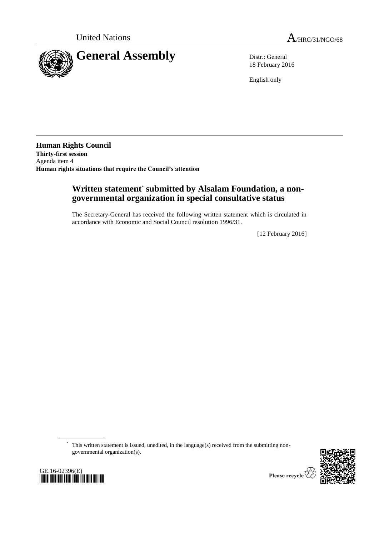

18 February 2016

English only

**Human Rights Council Thirty-first session** Agenda item 4 **Human rights situations that require the Council's attention**

# **Written statement**\* **submitted by Alsalam Foundation, a nongovernmental organization in special consultative status**

The Secretary-General has received the following written statement which is circulated in accordance with Economic and Social Council resolution 1996/31.

[12 February 2016]

\* This written statement is issued, unedited, in the language(s) received from the submitting nongovernmental organization(s).





Please recycle  $\overline{\mathbb{V}}$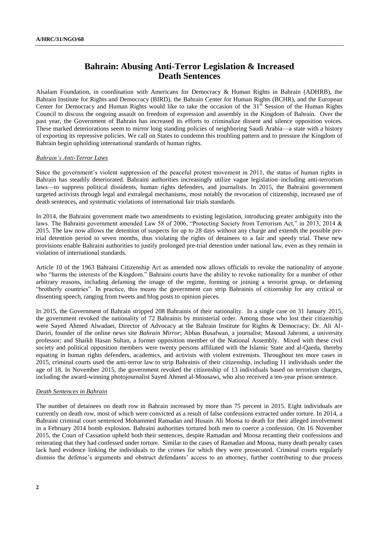## **Bahrain: Abusing Anti-Terror Legislation & Increased Death Sentences**

Alsalam Foundation, in coordination with Americans for Democracy & Human Rights in Bahrain (ADHRB), the Bahrain Institute for Rights and Democracy (BIRD), the Bahrain Center for Human Rights (BCHR), and the European Center for Democracy and Human Rights would like to take the occasion of the 31<sup>st</sup> Session of the Human Rights Council to discuss the ongoing assault on freedom of expression and assembly in the Kingdom of Bahrain. Over the past year, the Government of Bahrain has increased its efforts to criminalize dissent and silence opposition voices. These marked deteriorations seem to mirror long standing policies of neighboring Saudi Arabia—a state with a history of exporting its repressive policies. We call on States to condemn this troubling pattern and to pressure the Kingdom of Bahrain begin upholding international standards of human rights.

### *Bahrain's Anti-Terror Laws*

Since the government's violent suppression of the peaceful protest movement in 2011, the status of human rights in Bahrain has steadily deteriorated. Bahraini authorities increasingly utilize vague legislation–including anti-terrorism laws—to suppress political dissidents, human rights defenders, and journalists. In 2015, the Bahraini government targeted activists through legal and extralegal mechanisms, most notably the revocation of citizenship, increased use of death sentences, and systematic violations of international fair trials standards.

In 2014, the Bahraini government made two amendments to existing legislation, introducing greater ambiguity into the laws. The Bahraini government amended Law 58 of 2006, "Protecting Society from Terrorism Act," in 2013, 2014 & 2015. The law now allows the detention of suspects for up to 28 days without any charge and extends the possible pretrial detention period to seven months, thus violating the rights of detainees to a fair and speedy trial. These new provisions enable Bahraini authorities to justify prolonged pre-trial detention under national law, even as they remain in violation of international standards.

Article 10 of the 1963 Bahraini Citizenship Act as amended now allows officials to revoke the nationality of anyone who "harms the interests of the Kingdom." Bahraini courts have the ability to revoke nationality for a number of other arbitrary reasons, including defaming the image of the regime, forming or joining a terrorist group, or defaming "brotherly countries". In practice, this means the government can strip Bahrainis of citizenship for any critical or dissenting speech, ranging from tweets and blog posts to opinion pieces.

In 2015, the Government of Bahrain stripped 208 Bahrainis of their nationality. In a single case on 31 January 2015, the government revoked the nationality of 72 Bahrainis by ministerial order. Among those who lost their citizenship were Sayed Ahmed Alwadaei, Director of Advocacy at the Bahrain Institute for Rights & Democracy; Dr. Ali Al-Dariri, founder of the online news site *Bahrain Mirror*; Abbas Busafwan, a journalist; Masoud Jahromi, a university professor; and Shaikh Hasan Sultan, a former opposition member of the National Assembly. Mixed with these civil society and political opposition members were twenty persons affiliated with the Islamic State and al-Qaeda, thereby equating in human rights defenders, academics, and activists with violent extremists. Throughout ten more cases in 2015, criminal courts used the anti-terror law to strip Bahrainis of their citizenship, including 11 individuals under the age of 18. In November 2015, the government revoked the citizenship of 13 individuals based on terrorism charges, including the award-winning photojournalist Sayed Ahmed al-Mousawi, who also received a ten-year prison sentence.

#### *Death Sentences in Bahrain*

The number of detainees on death row in Bahrain increased by more than 75 percent in 2015. Eight individuals are currently on death row, most of which were convicted as a result of false confessions extracted under torture. In 2014, a Bahraini criminal court sentenced Mohammed Ramadan and Husain Ali Moosa to death for their alleged involvement in a February 2014 bomb explosion. Bahraini authorities tortured both men to coerce a confession. On 16 November 2015, the Court of Cassation upheld both their sentences, despite Ramadan and Moosa recanting their confessions and reiterating that they had confessed under torture. Similar to the cases of Ramadan and Moosa, many death penalty cases lack hard evidence linking the individuals to the crimes for which they were prosecuted. Criminal courts regularly dismiss the defense's arguments and obstruct defendants' access to an attorney, further contributing to due process